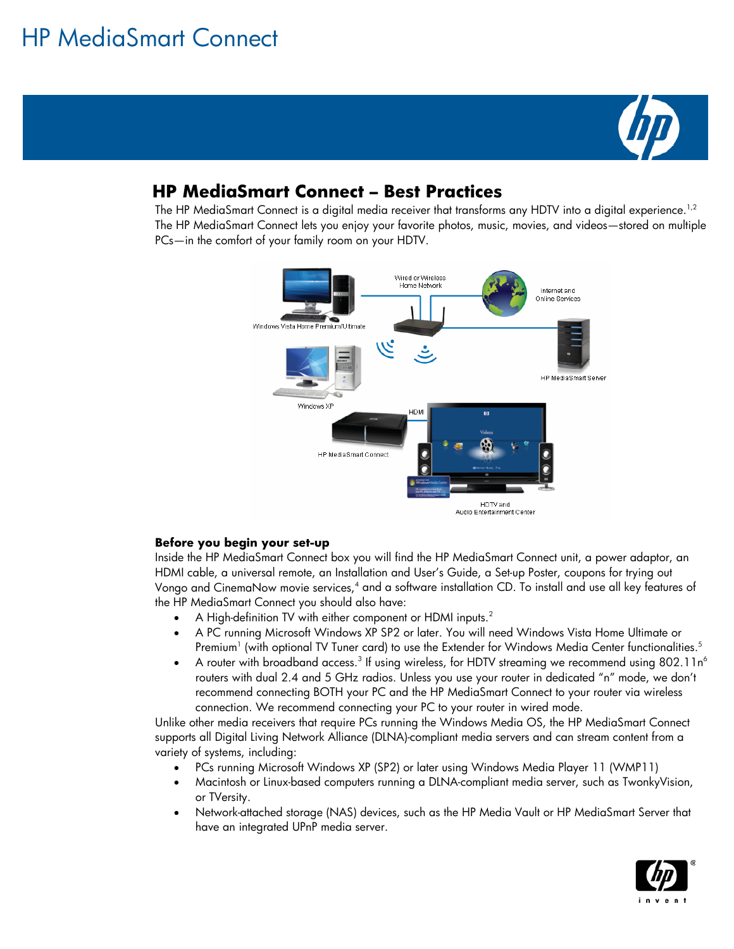# HP MediaSmart Connect



## **HP MediaSmart Connect – Best Practices**

The HP MediaSmart Connect is a digital media receiver that transforms any HDTV into a digital experience.<sup>1,2</sup> The HP MediaSmart Connect lets you enjoy your favorite photos, music, movies, and videos—stored on multiple PCs—in the comfort of your family room on your HDTV.



### **Before you begin your set-up**

Inside the HP MediaSmart Connect box you will find the HP MediaSmart Connect unit, a power adaptor, an HDMI cable, a universal remote, an Installation and User's Guide, a Set-up Poster, coupons for trying out Vongo and CinemaNow movie services,4 and a software installation CD. To install and use all key features of the HP MediaSmart Connect you should also have:

- A High-definition TV with either component or HDMI inputs.<sup>2</sup>
- A PC running Microsoft Windows XP SP2 or later. You will need Windows Vista Home Ultimate or Premium $^{\rm l}$  (with optional TV Tuner card) to use the Extender for Windows Media Center functionalities. $^5$
- A router with broadband access. $^3$  If using wireless, for HDTV streaming we recommend using 802.11n $^6$ routers with dual 2.4 and 5 GHz radios. Unless you use your router in dedicated "n" mode, we don't recommend connecting BOTH your PC and the HP MediaSmart Connect to your router via wireless connection. We recommend connecting your PC to your router in wired mode.

Unlike other media receivers that require PCs running the Windows Media OS, the HP MediaSmart Connect supports all Digital Living Network Alliance (DLNA)-compliant media servers and can stream content from a variety of systems, including:

- PCs running Microsoft Windows XP (SP2) or later using Windows Media Player 11 (WMP11)
- Macintosh or Linux-based computers running a DLNA-compliant media server, such as TwonkyVision, or TVersity.
- Network-attached storage (NAS) devices, such as the HP Media Vault or HP MediaSmart Server that have an integrated UPnP media server.